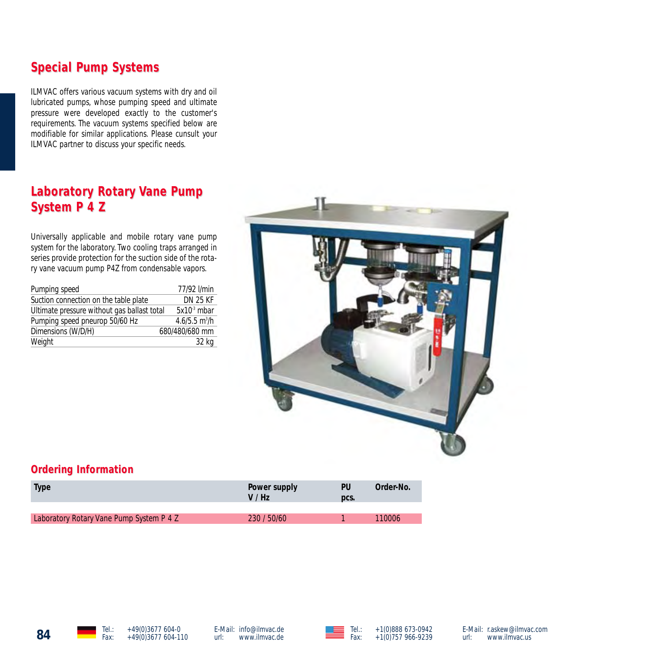# **Special Pump Systems Special Pump Systems**

ILMVAC offers various vacuum systems with dry and oil lubricated pumps, whose pumping speed and ultimate pressure were developed exactly to the customer's requirements. The vacuum systems specified below are modifiable for similar applications. Please cunsult your ILMVAC partner to discuss your specific needs.

# **Laboratory Rotary Vane Pump System P 4 Z System P 4 Z**

Universally applicable and mobile rotary vane pump system for the laboratory. Two cooling traps arranged in series provide protection for the suction side of the rotary vane vacuum pump P4Z from condensable vapors.

| Pumping speed                               | 77/92 l/min                 |
|---------------------------------------------|-----------------------------|
| Suction connection on the table plate       | <b>DN 25 KF</b>             |
| Ultimate pressure without gas ballast total | $5x103$ mbar                |
| Pumping speed pneurop 50/60 Hz              | $4.6/5.5$ m <sup>3</sup> /h |
| Dimensions (W/D/H)                          | 680/480/680 mm              |
| Weight                                      | 32 kg                       |



#### **Ordering Information**

| <b>Type</b>                              | Power supply<br>V/Hz | PU<br>DCS. | Order-No. |
|------------------------------------------|----------------------|------------|-----------|
|                                          |                      |            |           |
| Laboratory Rotary Vane Pump System P 4 Z | 230 / 50/60          |            | 110006    |





E-Mail: r.askew@ilmvac.com<br>url: www.ilmvac.us www.ilmvac.us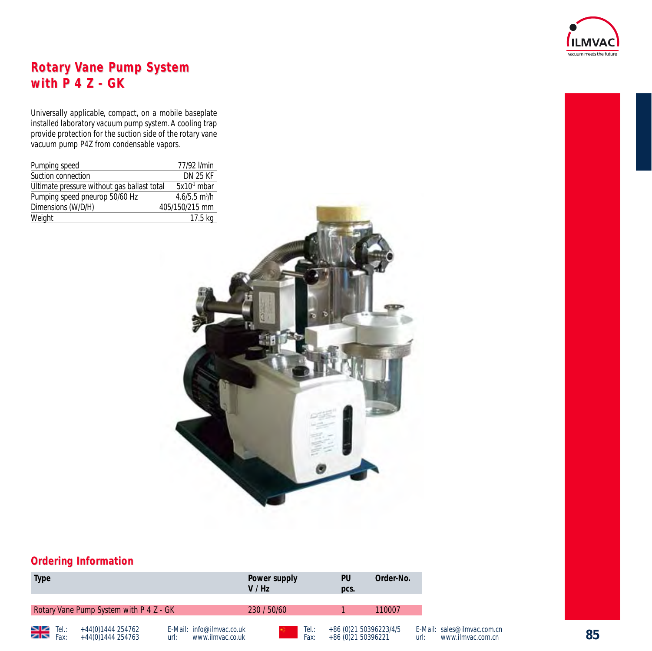

# **Rotary Vane Pump System with P 4 Z - GK with P 4 Z - GK**

Universally applicable, compact, on a mobile baseplate installed laboratory vacuum pump system.A cooling trap provide protection for the suction side of the rotary vane vacuum pump P4Z from condensable vapors.

| Pumping speed                               | 77/92 l/min                 |
|---------------------------------------------|-----------------------------|
| Suction connection                          | <b>DN 25 KF</b>             |
| Ultimate pressure without gas ballast total | $5x103$ mbar                |
| Pumping speed pneurop 50/60 Hz              | $4.6/5.5$ m <sup>3</sup> /h |
| Dimensions (W/D/H)                          | 405/150/215 mm              |
| Weight                                      | 17.5 kg                     |



#### **Ordering Information**

| <b>Type</b>          |                                         |                                                       | Power supply<br>V / Hz |               | PU<br>pcs.                                   | Order-No. |
|----------------------|-----------------------------------------|-------------------------------------------------------|------------------------|---------------|----------------------------------------------|-----------|
|                      | Rotary Vane Pump System with P 4 Z - GK |                                                       | 230 / 50/60            |               |                                              | 110007    |
| $\sum_{\text{Fax:}}$ | +44(0)1444 254762<br>+44(0)1444 254763  | E-Mail: info@ilmvac.co.uk<br>www.ilmvac.co.uk<br>url: |                        | Tel.:<br>Fax: | +86 (0)21 50396223/4/5<br>+86 (0)21 50396221 |           |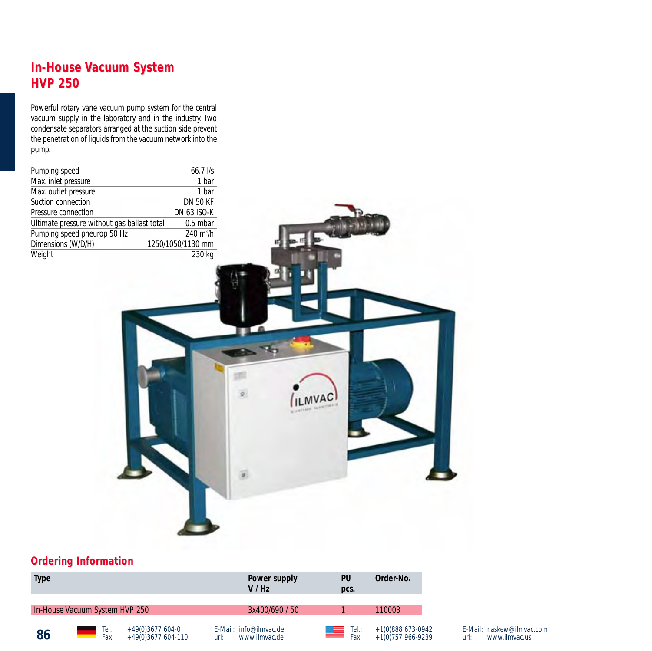# **In-House Vacuum System HVP 250 HVP 250**

Powerful rotary vane vacuum pump system for the central vacuum supply in the laboratory and in the industry. Two condensate separators arranged at the suction side prevent the penetration of liquids from the vacuum network into the pump.

| Pumping speed                               | $66.7$ $\frac{1}{s}$       |
|---------------------------------------------|----------------------------|
| Max. inlet pressure                         | 1 bar                      |
| Max. outlet pressure                        | 1 bar                      |
| Suction connection                          | <b>DN 50 KF</b>            |
| Pressure connection                         | <b>DN 63 ISO-K</b>         |
| Ultimate pressure without gas ballast total | $0.5$ mbar                 |
| Pumping speed pneurop 50 Hz                 | $240 \text{ m}^3/\text{h}$ |
| Dimensions (W/D/H)                          | 1250/1050/1130 mm          |
| Weight                                      | 230 kg                     |



#### **Ordering Information**

| <b>Type</b> |                                |                                          | Power supply<br>V / Hz                          | PU<br>pcs.                   | Order-No.                              |
|-------------|--------------------------------|------------------------------------------|-------------------------------------------------|------------------------------|----------------------------------------|
|             | In-House Vacuum System HVP 250 |                                          | 3x400/690 / 50                                  |                              | 110003                                 |
| 86          | Tel:<br>Fax:                   | $+49(0)3677604-0$<br>$+49(0)3677604-110$ | F-Mail: info@ilmvac.de<br>www.ilmvac.de<br>url: | Tel.:<br><u>star</u><br>Fax: | +1(0)888 673-0942<br>+1(0)757 966-9239 |

E-Mail: r.askew@ilmvac.com<br>url: www.ilmvac.us www.ilmvac.us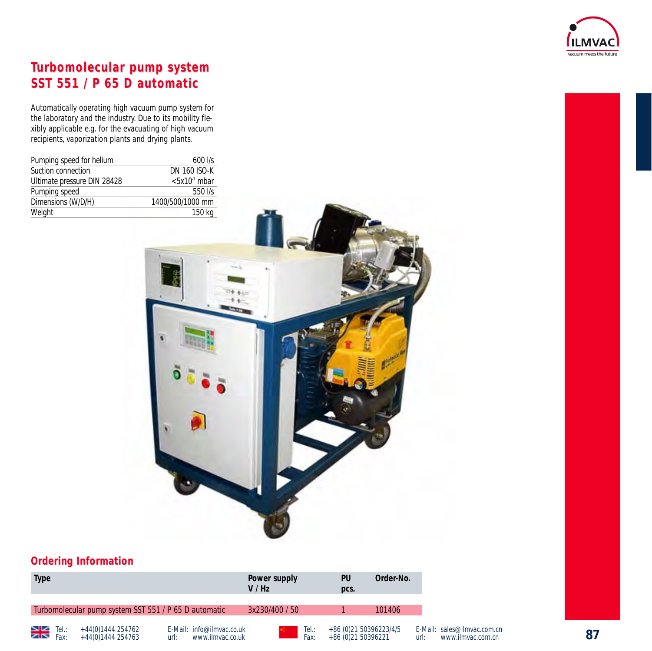

# **Turbomolecular pump system SST 551 / P 65 D automatic SST 551 / P 65 D automatic**

Automatically operating high vacuum pump system for the laboratory and the industry. Due to its mobility flexibly applicable e.g. for the evacuating of high vacuum recipients, vaporization plants and drying plants.

| Pumping speed for helium    | $600$ $1/s$         |
|-----------------------------|---------------------|
| Suction connection          | <b>DN 160 ISO-K</b> |
| Ultimate pressure DIN 28428 | $< 5x107$ mbar      |
| Pumping speed               | $550$ I/s           |
| Dimensions (W/D/H)          | 1400/500/1000 mm    |
| Weight                      | 150 kg              |



#### **Ordering Information**

| <b>Type</b>                                                   |                                                       | Power supply<br>V / Hz |               | PU<br>pcs.                                   | Order-No. |
|---------------------------------------------------------------|-------------------------------------------------------|------------------------|---------------|----------------------------------------------|-----------|
| Turbomolecular pump system SST 551 / P 65 D automatic         |                                                       | 3x230/400 / 50         |               |                                              | 101406    |
| $\geq$ $\leq$ Tel.:<br>+44(0)1444 254762<br>+44(0)1444 254763 | E-Mail: info@ilmvac.co.uk<br>www.ilmvac.co.uk<br>url: |                        | Tel.:<br>Fax: | +86 (0)21 50396223/4/5<br>+86 (0)21 50396221 |           |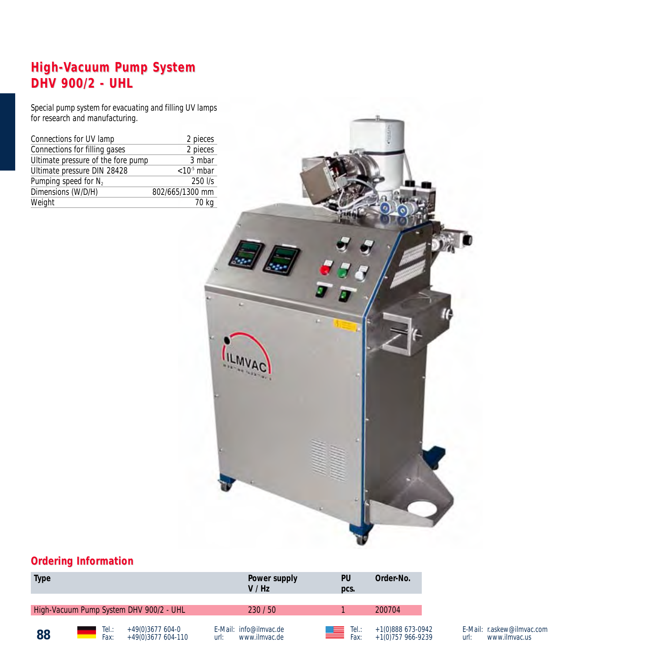# **High-Vacuum Pump System DHV 900/2 - UHL DHV 900/2 -**

Special pump system for evacuating and filling UV lamps for research and manufacturing.

| Connections for UV lamp            | 2 pieces        |
|------------------------------------|-----------------|
| Connections for filling gases      | 2 pieces        |
| Ultimate pressure of the fore pump | 3 mbar          |
| Ultimate pressure DIN 28428        | $< 105$ mbar    |
| Pumping speed for N <sub>2</sub>   | 250 l/s         |
| Dimensions (W/D/H)                 | 802/665/1300 mm |
| Weight                             | 70 kg           |



### **Ordering Information**

| <b>Type</b> |              |                                         |      | Power supply<br>V / Hz                  |    | PU<br>pcs.                             | Order-No.                              |
|-------------|--------------|-----------------------------------------|------|-----------------------------------------|----|----------------------------------------|----------------------------------------|
|             |              | High-Vacuum Pump System DHV 900/2 - UHL |      | 230/50                                  |    |                                        | 200704                                 |
| 88          | Tel:<br>Fax: | $+49(0)3677604-0$<br>+49(0)3677 604-110 | url: | E-Mail: info@ilmvac.de<br>www.ilmvac.de | ظه | $\overline{\phantom{a}}$ Tel.:<br>Fax: | +1(0)888 673-0942<br>+1(0)757 966-9239 |

E-Mail: r.askew@ilmvac.com url: www.ilmvac.us